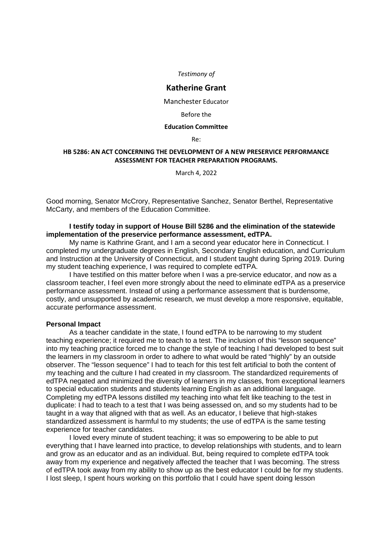*Testimony of*

# **Katherine Grant**

Manchester Educator

#### Before the

#### **Education Committee**

Re:

## **HB 5286: AN ACT CONCERNING THE DEVELOPMENT OF A NEW PRESERVICE PERFORMANCE ASSESSMENT FOR TEACHER PREPARATION PROGRAMS.**

March 4, 2022

Good morning, Senator McCrory, Representative Sanchez, Senator Berthel, Representative McCarty, and members of the Education Committee.

## **I testify today in support of House Bill 5286 and the elimination of the statewide implementation of the preservice performance assessment, edTPA.**

My name is Kathrine Grant, and I am a second year educator here in Connecticut. I completed my undergraduate degrees in English, Secondary English education, and Curriculum and Instruction at the University of Connecticut, and I student taught during Spring 2019. During my student teaching experience, I was required to complete edTPA.

I have testified on this matter before when I was a pre-service educator, and now as a classroom teacher, I feel even more strongly about the need to eliminate edTPA as a preservice performance assessment. Instead of using a performance assessment that is burdensome, costly, and unsupported by academic research, we must develop a more responsive, equitable, accurate performance assessment.

#### **Personal Impact**

As a teacher candidate in the state, I found edTPA to be narrowing to my student teaching experience; it required me to teach to a test. The inclusion of this "lesson sequence" into my teaching practice forced me to change the style of teaching I had developed to best suit the learners in my classroom in order to adhere to what would be rated "highly" by an outside observer. The "lesson sequence" I had to teach for this test felt artificial to both the content of my teaching and the culture I had created in my classroom. The standardized requirements of edTPA negated and minimized the diversity of learners in my classes, from exceptional learners to special education students and students learning English as an additional language. Completing my edTPA lessons distilled my teaching into what felt like teaching to the test in duplicate: I had to teach to a test that I was being assessed on, and so my students had to be taught in a way that aligned with that as well. As an educator, I believe that high-stakes standardized assessment is harmful to my students; the use of edTPA is the same testing experience for teacher candidates.

I loved every minute of student teaching; it was so empowering to be able to put everything that I have learned into practice, to develop relationships with students, and to learn and grow as an educator and as an individual. But, being required to complete edTPA took away from my experience and negatively affected the teacher that I was becoming. The stress of edTPA took away from my ability to show up as the best educator I could be for my students. I lost sleep, I spent hours working on this portfolio that I could have spent doing lesson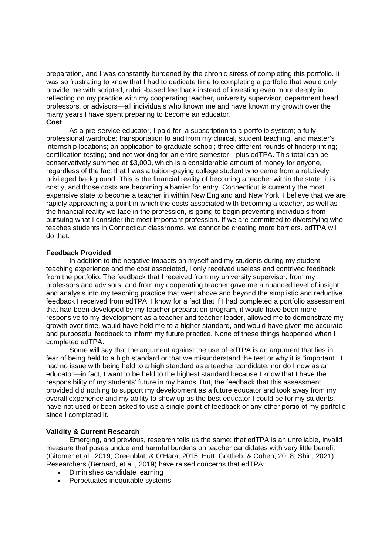preparation, and I was constantly burdened by the chronic stress of completing this portfolio. It was so frustrating to know that I had to dedicate time to completing a portfolio that would only provide me with scripted, rubric-based feedback instead of investing even more deeply in reflecting on my practice with my cooperating teacher, university supervisor, department head, professors, or advisors—all individuals who known me and have known my growth over the many years I have spent preparing to become an educator. **Cost**

As a pre-service educator, I paid for: a subscription to a portfolio system; a fully professional wardrobe; transportation to and from my clinical, student teaching, and master's internship locations; an application to graduate school; three different rounds of fingerprinting; certification testing; and not working for an entire semester—plus edTPA. This total can be conservatively summed at \$3,000, which is a considerable amount of money for anyone, regardless of the fact that I was a tuition-paying college student who came from a relatively privileged background. This is the financial reality of becoming a teacher within the state: it is costly, and those costs are becoming a barrier for entry. Connecticut is currently the most expensive state to become a teacher in within New England and New York. I believe that we are rapidly approaching a point in which the costs associated with becoming a teacher, as well as the financial reality we face in the profession, is going to begin preventing individuals from pursuing what I consider the most important profession. If we are committed to diversifying who teaches students in Connecticut classrooms, we cannot be creating more barriers. edTPA will do that.

### **Feedback Provided**

In addition to the negative impacts on myself and my students during my student teaching experience and the cost associated, I only received useless and contrived feedback from the portfolio. The feedback that I received from my university supervisor, from my professors and advisors, and from my cooperating teacher gave me a nuanced level of insight and analysis into my teaching practice that went above and beyond the simplistic and reductive feedback I received from edTPA. I know for a fact that if I had completed a portfolio assessment that had been developed by my teacher preparation program, it would have been more responsive to my development as a teacher and teacher leader, allowed me to demonstrate my growth over time, would have held me to a higher standard, and would have given me accurate and purposeful feedback to inform my future practice. None of these things happened when I completed edTPA.

Some will say that the argument against the use of edTPA is an argument that lies in fear of being held to a high standard or that we misunderstand the test or why it is "important." I had no issue with being held to a high standard as a teacher candidate, nor do I now as an educator—in fact, I want to be held to the highest standard because I know that I have the responsibility of my students' future in my hands. But, the feedback that this assessment provided did nothing to support my development as a future educator and took away from my overall experience and my ability to show up as the best educator I could be for my students. I have not used or been asked to use a single point of feedback or any other portio of my portfolio since I completed it.

### **Validity & Current Research**

Emerging, and previous, research tells us the same: that edTPA is an unreliable, invalid measure that poses undue and harmful burdens on teacher candidates with very little benefit (Gitomer et al., 2019; Greenblatt & O'Hara, 2015; Hutt, Gottlieb, & Cohen, 2018; Shin, 2021). Researchers (Bernard, et al., 2019) have raised concerns that edTPA:

- Diminishes candidate learning
- Perpetuates inequitable systems